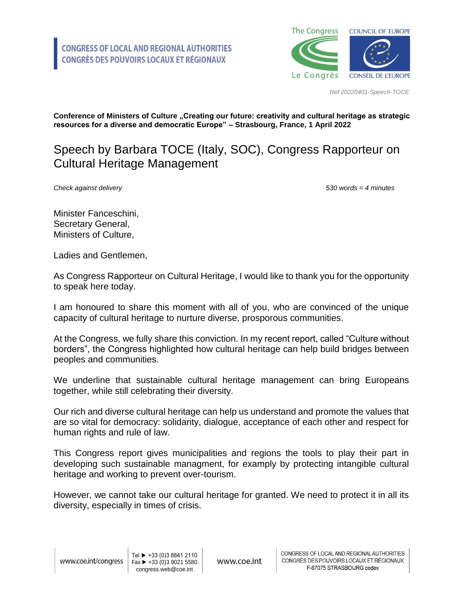

*Ref 20220401-Speech-TOCE*

**Conference of Ministers of Culture "Creating our future: creativity and cultural heritage as strategic resources for a diverse and democratic Europe" – Strasbourg, France, 1 April 2022**

## Speech by Barbara TOCE (Italy, SOC), Congress Rapporteur on Cultural Heritage Management

*Check against delivery 530 words = 4 minutes*

Minister Fanceschini, Secretary General, Ministers of Culture,

Ladies and Gentlemen,

As Congress Rapporteur on Cultural Heritage, I would like to thank you for the opportunity to speak here today.

I am honoured to share this moment with all of you, who are convinced of the unique capacity of cultural heritage to nurture diverse, prosporous communities.

At the Congress, we fully share this conviction. In my recent report, called "Culture without borders", the Congress highlighted how cultural heritage can help build bridges between peoples and communities.

We underline that sustainable cultural heritage management can bring Europeans together, while still celebrating their diversity.

Our rich and diverse cultural heritage can help us understand and promote the values that are so vital for democracy: solidarity, dialogue, acceptance of each other and respect for human rights and rule of law.

This Congress report gives municipalities and regions the tools to play their part in developing such sustainable managment, for examply by protecting intangible cultural heritage and working to prevent over-tourism.

However, we cannot take our cultural heritage for granted. We need to protect it in all its diversity, especially in times of crisis.